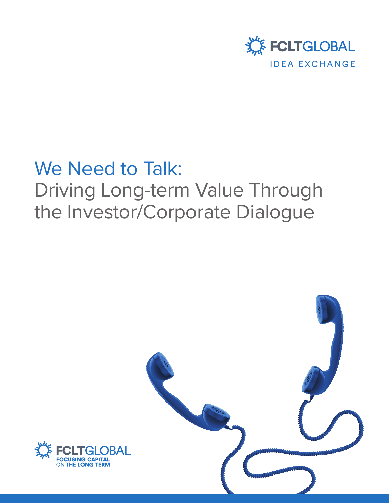

# We Need to Talk: Driving Long-term Value Through the Investor/Corporate Dialogue

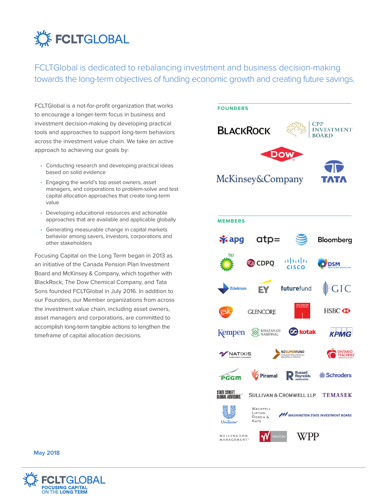

FCLTGlobal is dedicated to rebalancing investment and business decision-making towards the long-term objectives of funding economic growth and creating future savings.

FCLTGlobal is a not-for-profit organization that works to encourage a longer-term focus in business and investment decision-making by developing practical tools and approaches to support long-term behaviors across the investment value chain. We take an active approach to achieving our goals by:

- Conducting research and developing practical ideas based on solid evidence
- Engaging the world's top asset owners, asset managers, and corporations to problem-solve and test capital allocation approaches that create long-term value
- Developing educational resources and actionable approaches that are available and applicable globally
- Generating measurable change in capital markets behavior among savers, investors, corporations and other stakeholders

Focusing Capital on the Long Term began in 2013 as an initiative of the Canada Pension Plan Investment Board and McKinsey & Company, which together with BlackRock, The Dow Chemical Company, and Tata Sons founded FCLTGlobal in July 2016. In addition to our Founders, our Member organizations from across the investment value chain, including asset owners, asset managers and corporations, are committed to accomplish long-term tangible actions to lengthen the timeframe of capital allocation decisions.





**May 2018**

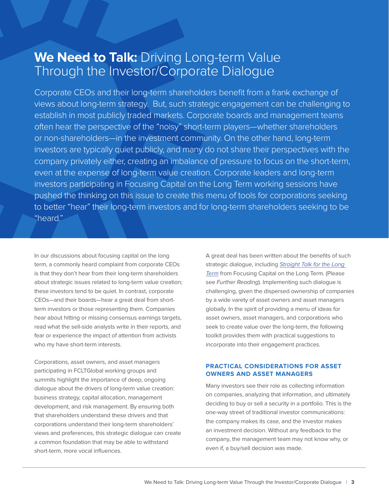### We Need to Talk: Driving Long-term Value Through the Investor/Corporate Dialogue

Corporate CEOs and their long-term shareholders benefit from a frank exchange of views about long-term strategy. But, such strategic engagement can be challenging to establish in most publicly traded markets. Corporate boards and management teams often hear the perspective of the "noisy" short-term players—whether shareholders or non-shareholders—in the investment community. On the other hand, long-term investors are typically quiet publicly, and many do not share their perspectives with the company privately either, creating an imbalance of pressure to focus on the short-term, even at the expense of long-term value creation. Corporate leaders and long-term investors participating in Focusing Capital on the Long Term working sessions have pushed the thinking on this issue to create this menu of tools for corporations seeking to better "hear" their long-term investors and for long-term shareholders seeking to be "heard."

In our discussions about focusing capital on the long term, a commonly heard complaint from corporate CEOs is that they don't hear from their long-term shareholders about strategic issues related to long-term value creation; these investors tend to be quiet. In contrast, corporate CEOs—and their boards—hear a great deal from shortterm investors or those representing them. Companies hear about hitting or missing consensus earnings targets, read what the sell-side analysts write in their reports, and fear or experience the impact of attention from activists who my have short-term interests.

Corporations, asset owners, and asset managers participating in FCLTGlobal working groups and summits highlight the importance of deep, ongoing dialogue about the drivers of long-term value creation: business strategy, capital allocation, management development, and risk management. By ensuring both that shareholders understand these drivers and that corporations understand their long-term shareholders' views and preferences, this strategic dialogue can create a common foundation that may be able to withstand short-term, more vocal influences.

A great deal has been written about the benefits of such strategic dialogue, including Straight Talk for the Long Term from Focusing Capital on the Long Term. (Please see Further Reading). Implementing such dialogue is challenging, given the dispersed ownership of companies by a wide varety of asset owners and asset managers globally. In the spirit of providing a menu of ideas for asset owners, asset managers, and corporations who seek to create value over the long-term, the following toolkit provides them with practical suggestions to incorporate into their engagement practices.

### **PRACTICAL CONSIDERATIONS FOR ASSET OWNERS AND ASSET MANAGERS**

Many investors see their role as collecting information on companies, analyzing that information, and ultimately deciding to buy or sell a security in a portfolio. This is the one-way street of traditional investor communications: the company makes its case, and the investor makes an investment decision. Without any feedback to the company, the management team may not know why, or even if, a buy/sell decision was made.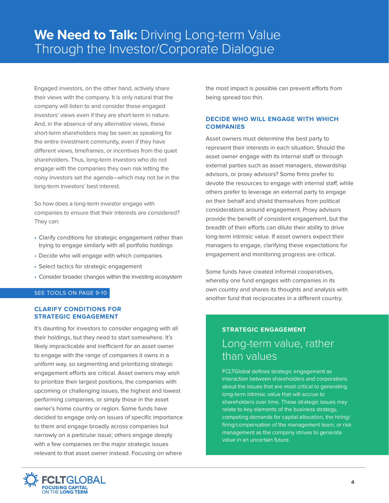Engaged investors, on the other hand, actively share their views with the company. It is only natural that the company will listen to and consider these engaged investors' views even if they are short-term in nature. And, in the absence of any alternative views, these short-term shareholders may be seen as speaking for the entire investment community, even if they have different views, timeframes, or incentives from the quiet shareholders. Thus, long-term investors who do not engage with the companies they own risk letting the noisy investors set the agenda—which may not be in the long-term investors' best interest.

So how does a long-term investor engage with companies to ensure that their interests are considered? They can:

- Clarify conditions for strategic engagement rather than trying to engage similarly with all portfolio holdings
- Decide who will engage with which companies
- Select tactics for strategic engagement
- Consider broader changes within the investing ecosystem

#### SEE TOOLS ON PAGE 9-10

### **CLARIFY CONDITIONS FOR STRATEGIC ENGAGEMENT**

It's daunting for investors to consider engaging with all their holdings, but they need to start somewhere. It's likely impracticable and inefficient for an asset owner to engage with the range of companies it owns in a uniform way, so segmenting and prioritizing strategic engagement efforts are critical. Asset owners may wish to prioritize their largest positions, the companies with upcoming or challenging issues, the highest and lowest performing companies, or simply those in the asset owner's home country or region. Some funds have decided to engage only on issues of specific importance to them and engage broadly across companies but narrowly on a particular issue; others engage deeply with a few companies on the major strategic issues relevant to that asset owner instead. Focusing on where

the most impact is possible can prevent efforts from being spread too thin.

### **DECIDE WHO WILL ENGAGE WITH WHICH COMPANIES**

Asset owners must determine the best party to represent their interests in each situation. Should the asset owner engage with its internal staff or through external parties such as asset managers, stewardship advisors, or proxy advisors? Some firms prefer to devote the resources to engage with internal staff, while others prefer to leverage an external party to engage on their behalf and shield themselves from political considerations around engagement. Proxy advisors provide the benefit of consistent engagement, but the breadth of their efforts can dilute their ability to drive long-term intrinsic value. If asset owners expect their managers to engage, clarifying these expectations for engagement and monitoring progress are critical.

Some funds have created informal cooperatives, whereby one fund engages with companies in its own country and shares its thoughts and analysis with another fund that reciprocates in a different country.

### **STRATEGIC ENGAGEMENT** Long-term value, rather than values

FCLTGlobal defines strategic engagement as interaction between shareholders and corporations about the issues that are most critical to generating long-term intrinsic value that will accrue to shareholders over time. These strategic issues may relate to key elements of the business strategy, competing demands for capital allocation, the hiring/ firing/compensation of the management team, or risk management as the company strives to generate value in an uncertain future.

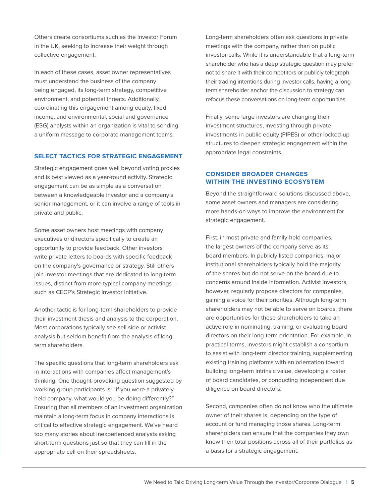Others create consortiums such as the Investor Forum in the UK, seeking to increase their weight through collective engagement.

In each of these cases, asset owner representatives must understand the business of the company being engaged, its long-term strategy, competitive environment, and potential threats. Additionally, coordinating this engagement among equity, fixed income, and environmental, social and governance (ESG) analysts within an organization is vital to sending a uniform message to corporate management teams.

#### **SELECT TACTICS FOR STRATEGIC ENGAGEMENT**

Strategic engagement goes well beyond voting proxies and is best viewed as a year-round activity. Strategic engagement can be as simple as a conversation between a knowledgeable investor and a company's senior management, or it can involve a range of tools in private and public.

Some asset owners host meetings with company executives or directors specifically to create an opportunity to provide feedback. Other investors write private letters to boards with specific feedback on the company's governance or strategy. Still others join investor meetings that are dedicated to long-term issues, distinct from more typical company meetings such as CECP's Strategic Investor Initiative.

Another tactic is for long-term shareholders to provide their investment thesis and analysis to the corporation. Most corporations typically see sell side or activist analysis but seldom benefit from the analysis of longterm shareholders.

The specific questions that long-term shareholders ask in interactions with companies affect management's thinking. One thought-provoking question suggested by working group participants is: "if you were a privatelyheld company, what would you be doing differently?" Ensuring that all members of an investment organization maintain a long-term focus in company interactions is critical to effective strategic engagement. We've heard too many stories about inexperienced analysts asking short-term questions just so that they can fill in the appropriate cell on their spreadsheets.

Long-term shareholders often ask questions in private meetings with the company, rather than on public investor calls. While it is understandable that a long-term shareholder who has a deep strategic question may prefer not to share it with their competitors or publicly telegraph their trading intentions during investor calls, having a longterm shareholder anchor the discussion to strategy can refocus these conversations on long-term opportunities.

Finally, some large investors are changing their investment structures, investing through private investments in public equity (PIPES) or other locked-up structures to deepen strategic engagement within the appropriate legal constraints.

### **CONSIDER BROADER CHANGES WITHIN THE INVESTING ECOSYSTEM**

Beyond the straightforward solutions discussed above, some asset owners and managers are considering more hands-on ways to improve the environment for strategic engagement.

First, in most private and family-held companies, the largest owners of the company serve as its board members. In publicly listed companies, major institutional shareholders typically hold the majority of the shares but do not serve on the board due to concerns around inside information. Activist investors, however, regularly propose directors for companies, gaining a voice for their priorities. Although long-term shareholders may not be able to serve on boards, there are opportunities for these shareholders to take an active role in nominating, training, or evaluating board directors on their long-term orientation. For example, in practical terms, investors might establish a consortium to assist with long-term director training, supplementing existing training platforms with an orientation toward building long-term intrinsic value, developing a roster of board candidates, or conducting independent due diligence on board directors.

Second, companies often do not know who the ultimate owner of their shares is, depending on the type of account or fund managing those shares. Long-term shareholders can ensure that the companies they own know their total positions across all of their portfolios as a basis for a strategic engagement.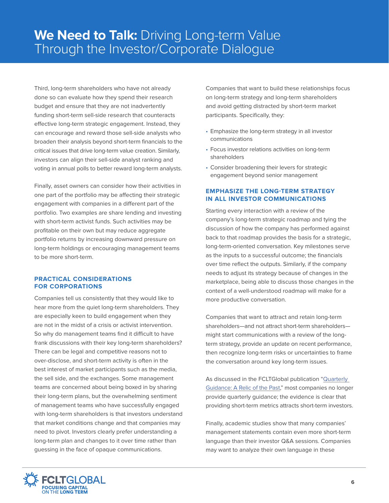Third, long-term shareholders who have not already done so can evaluate how they spend their research budget and ensure that they are not inadvertently funding short-term sell-side research that counteracts effective long-term strategic engagement. Instead, they can encourage and reward those sell-side analysts who broaden their analysis beyond short-term financials to the critical issues that drive long-term value creation. Similarly, investors can align their sell-side analyst ranking and voting in annual polls to better reward long-term analysts.

Finally, asset owners can consider how their activities in one part of the portfolio may be affecting their strategic engagement with companies in a different part of the portfolio. Two examples are share lending and investing with short-term activist funds. Such activities may be profitable on their own but may reduce aggregate portfolio returns by increasing downward pressure on long-term holdings or encouraging management teams to be more short-term.

#### **PRACTICAL CONSIDERATIONS FOR CORPORATIONS**

Companies tell us consistently that they would like to hear more from the quiet long-term shareholders. They are especially keen to build engagement when they are not in the midst of a crisis or activist intervention. So why do management teams find it difficult to have frank discussions with their key long-term shareholders? There can be legal and competitive reasons not to over-disclose, and short-term activity is often in the best interest of market participants such as the media, the sell side, and the exchanges. Some management teams are concerned about being boxed in by sharing their long-term plans, but the overwhelming sentiment of management teams who have successfully engaged with long-term shareholders is that investors understand that market conditions change and that companies may need to pivot. Investors clearly prefer understanding a long-term plan and changes to it over time rather than guessing in the face of opaque communications.

Companies that want to build these relationships focus on long-term strategy and long-term shareholders and avoid getting distracted by short-term market participants. Specifically, they:

- Emphasize the long-term strategy in all investor communications
- Focus investor relations activities on long-term shareholders
- Consider broadening their levers for strategic engagement beyond senior management

### **EMPHASIZE THE LONG-TERM STRATEGY IN ALL INVESTOR COMMUNICATIONS**

Starting every interaction with a review of the company's long-term strategic roadmap and tying the discussion of how the company has performed against back to that roadmap provides the basis for a strategic, long-term-oriented conversation. Key milestones serve as the inputs to a successful outcome; the financials over time reflect the outputs. Similarly, if the company needs to adjust its strategy because of changes in the marketplace, being able to discuss those changes in the context of a well-understood roadmap will make for a more productive conversation.

Companies that want to attract and retain long-term shareholders—and not attract short-term shareholders might start communications with a review of the longterm strategy, provide an update on recent performance, then recognize long-term risks or uncertainties to frame the conversation around key long-term issues.

As discussed in the FCLTGlobal publication "Quarterly Guidance: A Relic of the Past," most companies no longer provide quarterly guidance; the evidence is clear that providing short-term metrics attracts short-term investors.

Finally, academic studies show that many companies' management statements contain even more short-term language than their investor Q&A sessions. Companies may want to analyze their own language in these

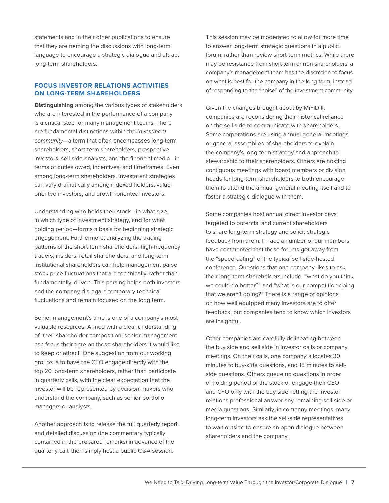statements and in their other publications to ensure that they are framing the discussions with long-term language to encourage a strategic dialogue and attract long-term shareholders.

### **FOCUS INVESTOR RELATIONS ACTIVITIES ON LONG-TERM SHAREHOLDERS**

**Distinguishing** among the various types of stakeholders who are interested in the performance of a company is a critical step for many management teams. There are fundamental distinctions within the investment community—a term that often encompasses long-term shareholders, short-term shareholders, prospective investors, sell-side analysts, and the financial media—in terms of duties owed, incentives, and timeframes. Even among long-term shareholders, investment strategies can vary dramatically among indexed holders, valueoriented investors, and growth-oriented investors.

Understanding who holds their stock—in what size, in which type of investment strategy, and for what holding period—forms a basis for beginning strategic engagement. Furthermore, analyzing the trading patterns of the short-term shareholders, high-frequency traders, insiders, retail shareholders, and long-term institutional shareholders can help management parse stock price fluctuations that are technically, rather than fundamentally, driven. This parsing helps both investors and the company disregard temporary technical fluctuations and remain focused on the long term.

Senior management's time is one of a company's most valuable resources. Armed with a clear understanding of their shareholder composition, senior management can focus their time on those shareholders it would like to keep or attract. One suggestion from our working groups is to have the CEO engage directly with the top 20 long-term shareholders, rather than participate in quarterly calls, with the clear expectation that the investor will be represented by decision-makers who understand the company, such as senior portfolio managers or analysts.

Another approach is to release the full quarterly report and detailed discussion (the commentary typically contained in the prepared remarks) in advance of the quarterly call, then simply host a public Q&A session.

This session may be moderated to allow for more time to answer long-term strategic questions in a public forum, rather than review short-term metrics. While there may be resistance from short-term or non-shareholders, a company's management team has the discretion to focus on what is best for the company in the long term, instead of responding to the "noise" of the investment community.

Given the changes brought about by MiFID II, companies are reconsidering their historical reliance on the sell side to communicate with shareholders. Some corporations are using annual general meetings or general assemblies of shareholders to explain the company's long-term strategy and approach to stewardship to their shareholders. Others are hosting contiguous meetings with board members or division heads for long-term shareholders to both encourage them to attend the annual general meeting itself and to foster a strategic dialogue with them.

Some companies host annual direct investor days targeted to potential and current shareholders to share long-term strategy and solicit strategic feedback from them. In fact, a number of our members have commented that these forums get away from the "speed-dating" of the typical sell-side-hosted conference. Questions that one company likes to ask their long-term shareholders include, "what do you think we could do better?" and "what is our competition doing that we aren't doing?" There is a range of opinions on how well equipped many investors are to offer feedback, but companies tend to know which investors are insightful.

Other companies are carefully delineating between the buy side and sell side in investor calls or company meetings. On their calls, one company allocates 30 minutes to buy-side questions, and 15 minutes to sellside questions. Others queue up questions in order of holding period of the stock or engage their CEO and CFO only with the buy side, letting the investor relations professional answer any remaining sell-side or media questions. Similarly, in company meetings, many long-term investors ask the sell-side representatives to wait outside to ensure an open dialogue between shareholders and the company.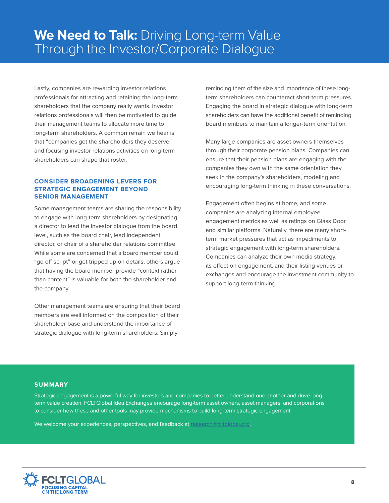Lastly, companies are rewarding investor relations professionals for attracting and retaining the long-term shareholders that the company really wants. Investor relations professionals will then be motivated to guide their management teams to allocate more time to long-term shareholders. A common refrain we hear is that "companies get the shareholders they deserve," and focusing investor relations activities on long-term shareholders can shape that roster.

#### **CONSIDER BROADENING LEVERS FOR STRATEGIC ENGAGEMENT BEYOND SENIOR MANAGEMENT**

Some management teams are sharing the responsibility to engage with long-term shareholders by designating a director to lead the investor dialogue from the board level, such as the board chair, lead independent director, or chair of a shareholder relations committee. While some are concerned that a board member could "go off script" or get tripped up on details, others argue that having the board member provide "context rather than content" is valuable for both the shareholder and the company.

Other management teams are ensuring that their board members are well informed on the composition of their shareholder base and understand the importance of strategic dialogue with long-term shareholders. Simply

reminding them of the size and importance of these longterm shareholders can counteract short-term pressures. Engaging the board in strategic dialogue with long-term shareholders can have the additional benefit of reminding board members to maintain a longer-term orientation.

Many large companies are asset owners themselves through their corporate pension plans. Companies can ensure that their pension plans are engaging with the companies they own with the same orientation they seek in the company's shareholders, modeling and encouraging long-term thinking in these conversations.

Engagement often begins at home, and some companies are analyzing internal employee engagement metrics as well as ratings on Glass Door and similar platforms. Naturally, there are many shortterm market pressures that act as impediments to strategic engagement with long-term shareholders. Companies can analyze their own media strategy, its effect on engagement, and their listing venues or exchanges and encourage the investment community to support long-term thinking.

#### **SUMMARY**

Strategic engagement is a powerful way for investors and companies to better understand one another and drive longterm value creation. FCLTGlobal Idea Exchanges encourage long-term asset owners, asset managers, and corporations to consider how these and other tools may provide mechanisms to build long-term strategic engagement.

We welcome your experiences, perspectives, and feedback at research@fcltglobal.org.

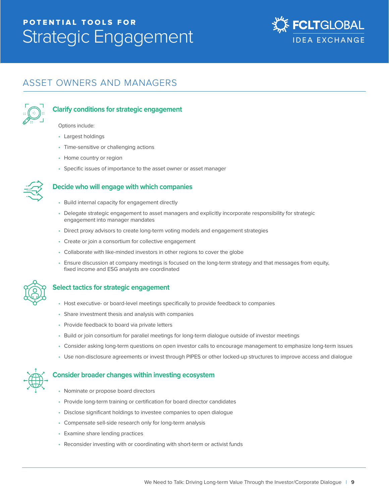### POTENTIAL TOOLS FOR Strategic Engagement



### ASSET OWNERS AND MANAGERS



### **Clarify conditions for strategic engagement**

Options include:

- Largest holdings
- Time-sensitive or challenging actions
- Home country or region
- Specific issues of importance to the asset owner or asset manager



### **Decide who will engage with which companies**

- Build internal capacity for engagement directly
- Delegate strategic engagement to asset managers and explicitly incorporate responsibility for strategic engagement into manager mandates
- Direct proxy advisors to create long-term voting models and engagement strategies
- Create or join a consortium for collective engagement
- Collaborate with like-minded investors in other regions to cover the globe
- Ensure discussion at company meetings is focused on the long-term strategy and that messages from equity, fixed income and ESG analysts are coordinated



### **Select tactics for strategic engagement**

- Host executive- or board-level meetings specifically to provide feedback to companies
- Share investment thesis and analysis with companies
- Provide feedback to board via private letters
- Build or join consortium for parallel meetings for long-term dialogue outside of investor meetings
- Consider asking long-term questions on open investor calls to encourage management to emphasize long-term issues
- Use non-disclosure agreements or invest through PIPES or other locked-up structures to improve access and dialogue

#### **Consider broader changes within investing ecosystem**

- Nominate or propose board directors
- Provide long-term training or certification for board director candidates
- Disclose significant holdings to investee companies to open dialogue
- Compensate sell-side research only for long-term analysis
- Examine share lending practices
- Reconsider investing with or coordinating with short-term or activist funds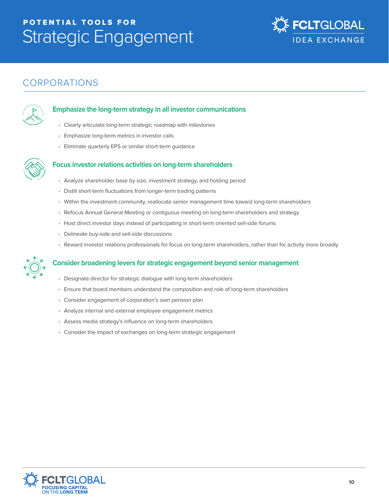## POTENTIAL TOOLS FOR Strategic Engagement



### CORPORATIONS



### **Emphasize the long-term strategy in all investor communications**

- Clearly articulate long-term strategic roadmap with milestones
- Emphasize long-term metrics in investor calls
- Eliminate quarterly EPS or similar short-term guidance



### **Focus investor relations activities on long-term shareholders**

- Analyze shareholder base by size, investment strategy, and holding period
- Distill short-term fluctuations from longer-term trading patterns
- Within the investment community, reallocate senior management time toward long-term shareholders
- Refocus Annual General Meeting or contiguous meeting on long-term shareholders and strategy
- Host direct investor days instead of participating in short-term oriented sell-side forums
- Delineate buy-side and sell-side discussions
- Reward investor relations professionals for focus on long-term shareholders, rather than for activity more broadly



### **Consider broadening levers for strategic engagement beyond senior management**

- Designate director for strategic dialogue with long-term shareholders
- Ensure that board members understand the composition and role of long-term shareholders
- Consider engagement of corporation's own pension plan
- Analyze internal and external employee engagement metrics
- Assess media strategy's influence on long-term shareholders
- Consider the impact of exchanges on long-term strategic engagement

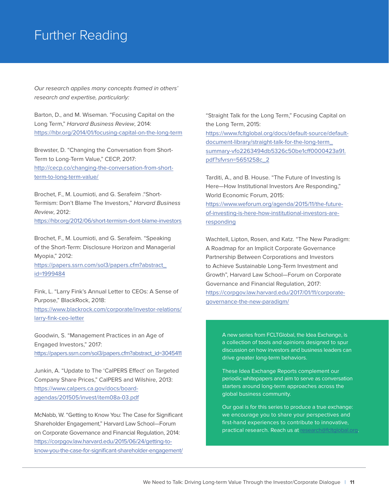### Further Reading

Our research applies many concepts framed in others' research and expertise, particularly:

Barton, D., and M. Wiseman. "Focusing Capital on the Long Term," Harvard Business Review, 2014: https://hbr.org/2014/01/focusing-capital-on-the-long-term

Brewster, D. "Changing the Conversation from Short-Term to Long-Term Value," CECP, 2017: http://cecp.co/changing-the-conversation-from-shortterm-to-long-term-value/

Brochet, F., M. Loumioti, and G. Serafeim ."Short-Termism: Don't Blame The Investors," Harvard Business Review, 2012:

https://hbr.org/2012/06/short-termism-dont-blame-investors

Brochet, F., M. Loumioti, and G. Serafeim. "Speaking of the Short-Term: Disclosure Horizon and Managerial Myopia," 2012:

https://papers.ssrn.com/sol3/papers.cfm?abstract\_ id=1999484

Fink, L. "Larry Fink's Annual Letter to CEOs: A Sense of Purpose," BlackRock, 2018: https://www.blackrock.com/corporate/investor-relations/ larry-fink-ceo-letter

Goodwin, S. "Management Practices in an Age of Engaged Investors," 2017: https://papers.ssrn.com/sol3/papers.cfm?abstract\_id=3045411

Junkin, A. "Update to The 'CalPERS Effect' on Targeted Company Share Prices," CalPERS and Wilshire, 2013: https://www.calpers.ca.gov/docs/boardagendas/201505/invest/item08a-03.pdf

McNabb, W. "Getting to Know You: The Case for Significant Shareholder Engagement," Harvard Law School—Forum on Corporate Governance and Financial Regulation, 2014: https://corpgov.law.harvard.edu/2015/06/24/getting-toknow-you-the-case-for-significant-shareholder-engagement/ "Straight Talk for the Long Term," Focusing Capital on the Long Term, 2015: https://www.fcltglobal.org/docs/default-source/defaultdocument-library/straight-talk-for-the-long-term\_ summary-vfo2263494db5326c50be1cff0000423a91. pdf?sfvrsn=5651258c\_2

Tarditi, A., and B. House. "The Future of Investing Is Here—How Institutional Investors Are Responding," World Economic Forum, 2015: https://www.weforum.org/agenda/2015/11/the-futureof-investing-is-here-how-institutional-investors-areresponding

Wachtell, Lipton, Rosen, and Katz. "The New Paradigm: A Roadmap for an Implicit Corporate Governance Partnership Between Corporations and Investors to Achieve Sustainable Long-Term Investment and Growth", Harvard Law School—Forum on Corporate Governance and Financial Regulation, 2017: https://corpgov.law.harvard.edu/2017/01/11/corporategovernance-the-new-paradigm/

> A new series from FCLTGlobal, the Idea Exchange, is a collection of tools and opinions designed to spur discussion on how investors and business leaders can drive greater long-term behaviors.

> These Idea Exchange Reports complement our periodic whitepapers and aim to serve as conversation starters around long-term approaches across the global business community.

Our goal is for this series to produce a true exchange: we encourage you to share your perspectives and first-hand experiences to contribute to innovative, practical research. Reach us at research@fcltglobal.org.